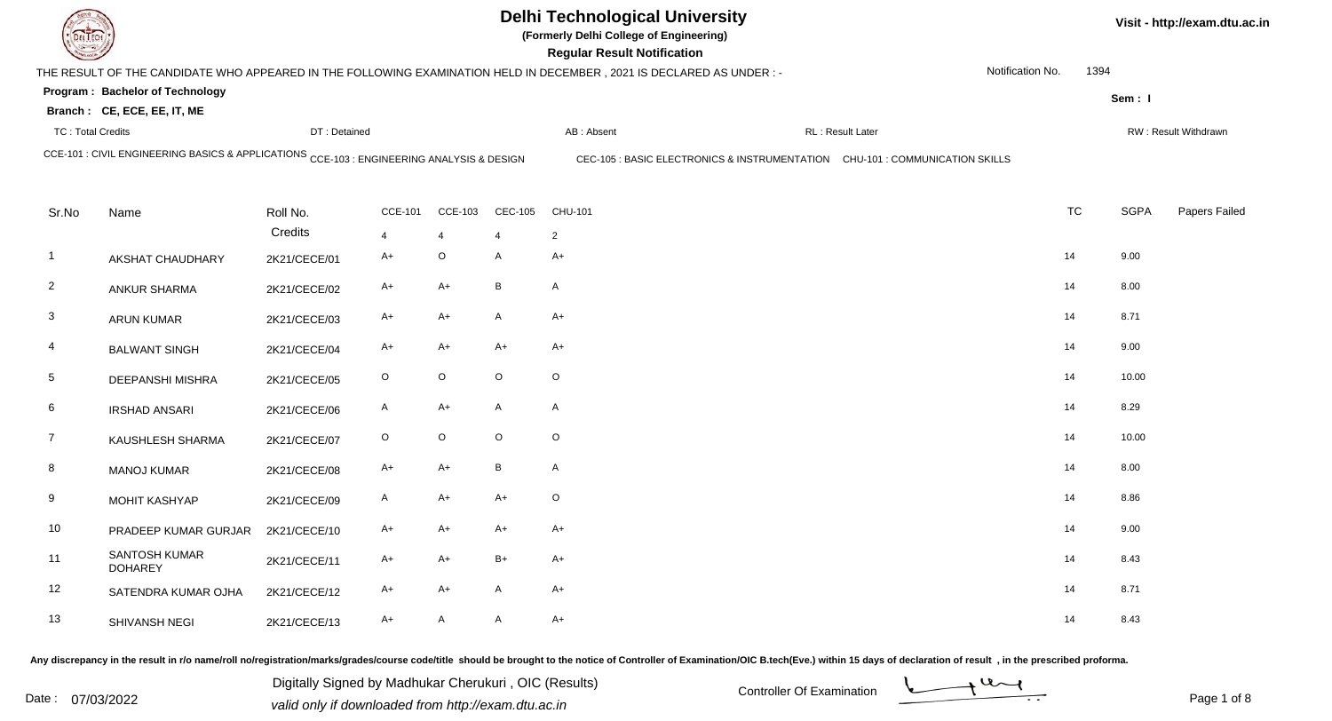| <b>DELTECH</b>           |                                                                                           |              |                |                           |                          | <b>Delhi Technological University</b><br>(Formerly Delhi College of Engineering)<br><b>Regular Result Notification</b> |                                                                              |                  |           |             | Visit - http://exam.dtu.ac.in |
|--------------------------|-------------------------------------------------------------------------------------------|--------------|----------------|---------------------------|--------------------------|------------------------------------------------------------------------------------------------------------------------|------------------------------------------------------------------------------|------------------|-----------|-------------|-------------------------------|
|                          |                                                                                           |              |                |                           |                          | THE RESULT OF THE CANDIDATE WHO APPEARED IN THE FOLLOWING EXAMINATION HELD IN DECEMBER, 2021 IS DECLARED AS UNDER:-    |                                                                              | Notification No. | 1394      |             |                               |
|                          | Program: Bachelor of Technology                                                           |              |                |                           |                          |                                                                                                                        |                                                                              |                  |           | Sem: I      |                               |
|                          | Branch: CE, ECE, EE, IT, ME                                                               |              |                |                           |                          |                                                                                                                        |                                                                              |                  |           |             |                               |
| <b>TC: Total Credits</b> |                                                                                           | DT: Detained |                |                           |                          | AB: Absent                                                                                                             | RL: Result Later                                                             |                  |           |             | RW: Result Withdrawn          |
|                          | CCE-101 : CIVIL ENGINEERING BASICS & APPLICATIONS CCE-103 : ENGINEERING ANALYSIS & DESIGN |              |                |                           |                          |                                                                                                                        | CEC-105 : BASIC ELECTRONICS & INSTRUMENTATION CHU-101 : COMMUNICATION SKILLS |                  |           |             |                               |
| Sr.No                    | Name                                                                                      | Roll No.     | <b>CCE-101</b> | <b>CCE-103</b>            | <b>CEC-105</b>           | CHU-101                                                                                                                |                                                                              |                  | <b>TC</b> | <b>SGPA</b> | Papers Failed                 |
|                          |                                                                                           | Credits      | 4              | $\overline{4}$            | $\boldsymbol{\varDelta}$ | $\overline{2}$                                                                                                         |                                                                              |                  |           |             |                               |
| $\mathbf{1}$             | AKSHAT CHAUDHARY                                                                          | 2K21/CECE/01 | $A+$           | $\mathsf O$               | A                        | $A+$                                                                                                                   |                                                                              |                  | 14        | 9.00        |                               |
| $\overline{2}$           | <b>ANKUR SHARMA</b>                                                                       | 2K21/CECE/02 | A+             | $A+$                      | B                        | A                                                                                                                      |                                                                              |                  | 14        | 8.00        |                               |
| $\mathbf{3}$             | <b>ARUN KUMAR</b>                                                                         | 2K21/CECE/03 | A+             | $A+$                      | A                        | $A+$                                                                                                                   |                                                                              |                  | 14        | 8.71        |                               |
| 4                        | <b>BALWANT SINGH</b>                                                                      | 2K21/CECE/04 | $A+$           | $A+$                      | $A+$                     | $A+$                                                                                                                   |                                                                              |                  | 14        | 9.00        |                               |
| $5\phantom{.0}$          | <b>DEEPANSHI MISHRA</b>                                                                   | 2K21/CECE/05 | $\circ$        | $\mathsf O$               | $\circ$                  | $\circ$                                                                                                                |                                                                              |                  | 14        | 10.00       |                               |
| 6                        | <b>IRSHAD ANSARI</b>                                                                      | 2K21/CECE/06 | A              | $A+$                      | A                        | A                                                                                                                      |                                                                              |                  | 14        | 8.29        |                               |
| $\overline{7}$           | KAUSHLESH SHARMA                                                                          | 2K21/CECE/07 | $\circ$        | $\mathsf O$               | $\circ$                  | $\circ$                                                                                                                |                                                                              |                  | 14        | 10.00       |                               |
| 8                        | <b>MANOJ KUMAR</b>                                                                        | 2K21/CECE/08 | A+             | $A+$                      | B                        | A                                                                                                                      |                                                                              |                  | 14        | 8.00        |                               |
| 9                        | MOHIT KASHYAP                                                                             | 2K21/CECE/09 | $\mathsf{A}$   | $A+$                      | $A+$                     | $\mathsf O$                                                                                                            |                                                                              |                  | 14        | 8.86        |                               |
| 10                       | PRADEEP KUMAR GURJAR                                                                      | 2K21/CECE/10 | A+             | $A+$                      | $A+$                     | $A+$                                                                                                                   |                                                                              |                  | 14        | 9.00        |                               |
| 11                       | <b>SANTOSH KUMAR</b><br><b>DOHAREY</b>                                                    | 2K21/CECE/11 | $A+$           | $A+$                      | $B+$                     | $A+$                                                                                                                   |                                                                              |                  | 14        | 8.43        |                               |
| 12                       | SATENDRA KUMAR OJHA                                                                       | 2K21/CECE/12 | A+             | $A+$                      | A                        | $A+$                                                                                                                   |                                                                              |                  | 14        | 8.71        |                               |
| 13                       | SHIVANSH NEGI                                                                             | 2K21/CECE/13 | A+             | $\boldsymbol{\mathsf{A}}$ | A                        | $A+$                                                                                                                   |                                                                              |                  | 14        | 8.43        |                               |

Any discrepancy in the result in r/o name/roll no/registration/marks/grades/course code/title should be brought to the notice of Controller of Examination/OIC B.tech(Eve.) within 15 days of declaration of result ,in the p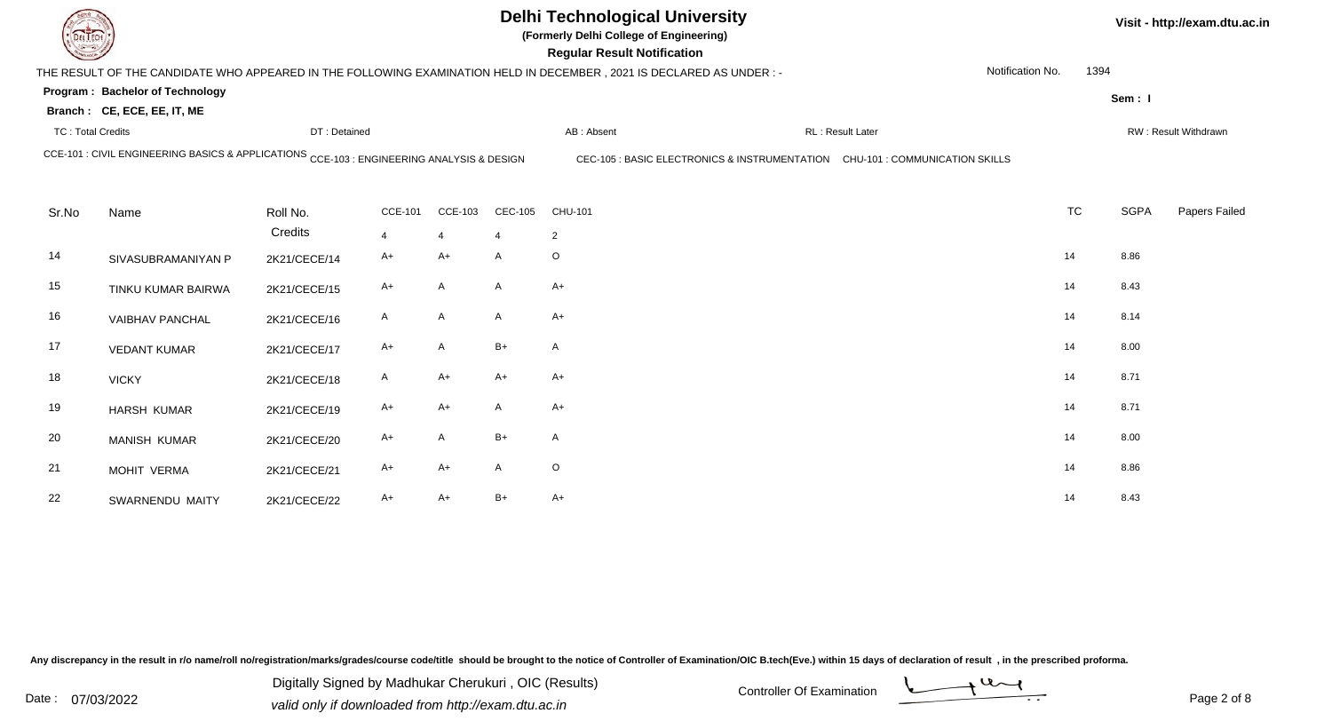| DEL TECH                 |                                                                                           |                     |                        |                           |                | <b>Delhi Technological University</b><br>(Formerly Delhi College of Engineering)<br><b>Regular Result Notification</b> |                   |                  |           |             | Visit - http://exam.dtu.ac.in |
|--------------------------|-------------------------------------------------------------------------------------------|---------------------|------------------------|---------------------------|----------------|------------------------------------------------------------------------------------------------------------------------|-------------------|------------------|-----------|-------------|-------------------------------|
|                          |                                                                                           |                     |                        |                           |                | THE RESULT OF THE CANDIDATE WHO APPEARED IN THE FOLLOWING EXAMINATION HELD IN DECEMBER, 2021 IS DECLARED AS UNDER :-   |                   | Notification No. | 1394      |             |                               |
|                          | Program: Bachelor of Technology<br>Branch: CE, ECE, EE, IT, ME                            |                     |                        |                           |                |                                                                                                                        |                   |                  |           | Sem: I      |                               |
| <b>TC: Total Credits</b> |                                                                                           | DT: Detained        |                        |                           |                | AB: Absent                                                                                                             | RL : Result Later |                  |           |             | RW: Result Withdrawn          |
|                          | CCE-101 : CIVIL ENGINEERING BASICS & APPLICATIONS CCE-103 : ENGINEERING ANALYSIS & DESIGN |                     |                        |                           |                | CEC-105 : BASIC ELECTRONICS & INSTRUMENTATION CHU-101 : COMMUNICATION SKILLS                                           |                   |                  |           |             |                               |
| Sr.No                    | Name                                                                                      | Roll No.<br>Credits | <b>CCE-101</b>         | <b>CCE-103</b>            | <b>CEC-105</b> | CHU-101                                                                                                                |                   |                  | <b>TC</b> | <b>SGPA</b> | Papers Failed                 |
| 14                       | SIVASUBRAMANIYAN P                                                                        | 2K21/CECE/14        | $\overline{4}$<br>$A+$ | $\overline{4}$<br>$A+$    | $\mathsf{A}$   | $\overline{2}$<br>$\circ$                                                                                              |                   |                  | 14        | 8.86        |                               |
| 15                       | TINKU KUMAR BAIRWA                                                                        | 2K21/CECE/15        | A+                     | $\mathsf{A}$              | A              | $A+$                                                                                                                   |                   |                  | 14        | 8.43        |                               |
| 16                       | <b>VAIBHAV PANCHAL</b>                                                                    | 2K21/CECE/16        | A                      | $\boldsymbol{\mathsf{A}}$ | A              | $A+$                                                                                                                   |                   |                  | 14        | 8.14        |                               |
| 17                       | <b>VEDANT KUMAR</b>                                                                       | 2K21/CECE/17        | $A+$                   | $\mathsf{A}$              | B+             | A                                                                                                                      |                   |                  | 14        | 8.00        |                               |
| 18                       | <b>VICKY</b>                                                                              | 2K21/CECE/18        | $\mathsf{A}$           | $A+$                      | $A+$           | $A+$                                                                                                                   |                   |                  | 14        | 8.71        |                               |
| 19                       | <b>HARSH KUMAR</b>                                                                        | 2K21/CECE/19        | A+                     | $A+$                      | A              | $A+$                                                                                                                   |                   |                  | 14        | 8.71        |                               |
| 20                       | <b>MANISH KUMAR</b>                                                                       | 2K21/CECE/20        | A+                     | $\mathsf{A}$              | $B+$           | A                                                                                                                      |                   |                  | 14        | 8.00        |                               |
| 21                       | MOHIT VERMA                                                                               | 2K21/CECE/21        | A+                     | $A+$                      | A              | $\circ$                                                                                                                |                   |                  | 14        | 8.86        |                               |
| 22                       | SWARNENDU MAITY                                                                           | 2K21/CECE/22        | A+                     | $A+$                      | $B+$           | $A+$                                                                                                                   |                   |                  | 14        | 8.43        |                               |

Any discrepancy in the result in r/o name/roll no/registration/marks/grades/course code/title should be brought to the notice of Controller of Examination/OIC B.tech(Eve.) within 15 days of declaration of result ,in the p

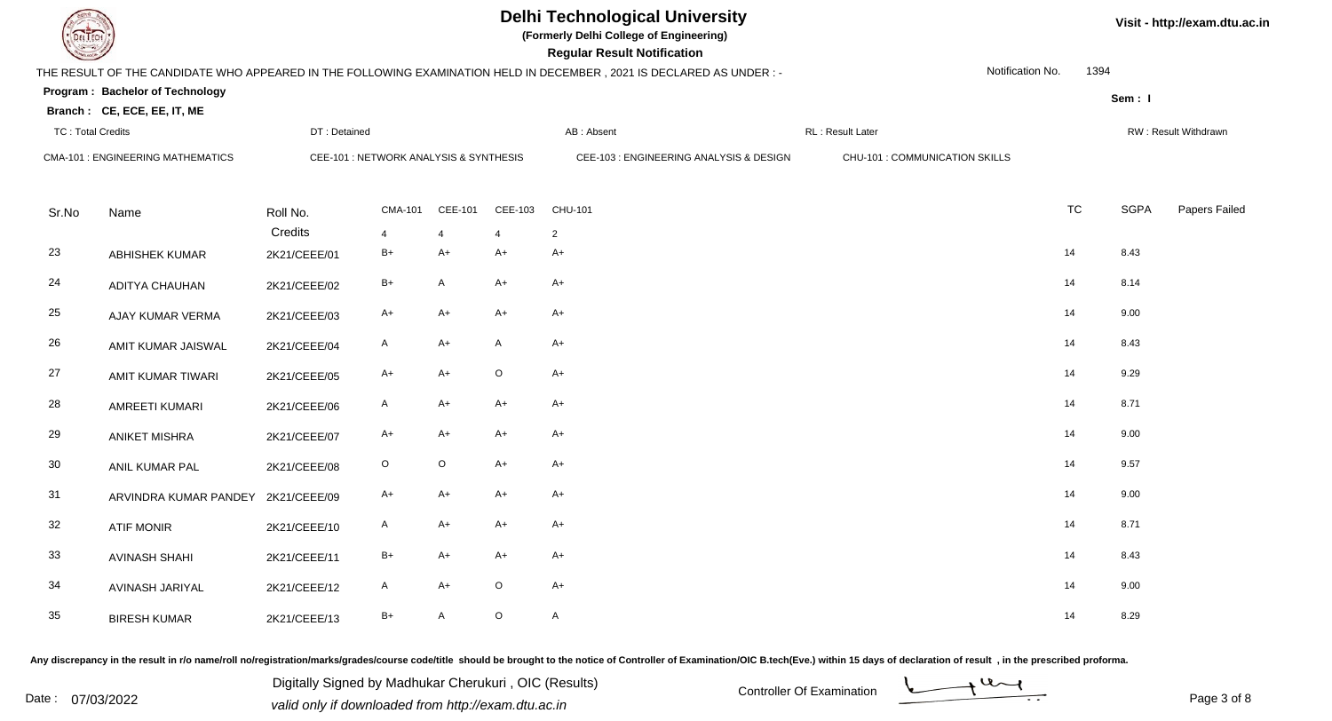**(Formerly Delhi College of Engineering)**

**Regular Regular Results Notification** 

| <b>Country of Charles</b> |                                          |                                        |                |         |                | <b>Regular Result Notification</b>                                                                                   |                                |                  |           |             |                      |
|---------------------------|------------------------------------------|----------------------------------------|----------------|---------|----------------|----------------------------------------------------------------------------------------------------------------------|--------------------------------|------------------|-----------|-------------|----------------------|
|                           |                                          |                                        |                |         |                | THE RESULT OF THE CANDIDATE WHO APPEARED IN THE FOLLOWING EXAMINATION HELD IN DECEMBER, 2021 IS DECLARED AS UNDER :- |                                | Notification No. | 1394      |             |                      |
|                           | Program: Bachelor of Technology          |                                        |                |         |                |                                                                                                                      |                                |                  |           | Sem: I      |                      |
|                           | Branch: CE, ECE, EE, IT, ME              |                                        |                |         |                |                                                                                                                      |                                |                  |           |             |                      |
| <b>TC: Total Credits</b>  |                                          | DT: Detained                           |                |         |                | AB: Absent                                                                                                           | RL: Result Later               |                  |           |             | RW: Result Withdrawn |
|                           | <b>CMA-101 : ENGINEERING MATHEMATICS</b> | CEE-101 : NETWORK ANALYSIS & SYNTHESIS |                |         |                | CEE-103 : ENGINEERING ANALYSIS & DESIGN                                                                              | CHU-101 : COMMUNICATION SKILLS |                  |           |             |                      |
|                           |                                          |                                        |                |         |                |                                                                                                                      |                                |                  |           |             |                      |
| Sr.No                     | Name                                     | Roll No.                               | <b>CMA-101</b> | CEE-101 | CEE-103        | CHU-101                                                                                                              |                                |                  | <b>TC</b> | <b>SGPA</b> | Papers Failed        |
|                           |                                          | Credits                                | $\overline{4}$ | 4       | $\overline{4}$ | $\overline{2}$                                                                                                       |                                |                  |           |             |                      |
| 23                        | <b>ABHISHEK KUMAR</b>                    | 2K21/CEEE/01                           | $B+$           | A+      | A+             | A+                                                                                                                   |                                | 14               |           | 8.43        |                      |
| 24                        | ADITYA CHAUHAN                           | 2K21/CEEE/02                           | $B+$           | A       | $A+$           | A+                                                                                                                   |                                | 14               |           | 8.14        |                      |
| 25                        | AJAY KUMAR VERMA                         | 2K21/CEEE/03                           | A+             | A+      | $A+$           | A+                                                                                                                   |                                | 14               |           | 9.00        |                      |
| 26                        | AMIT KUMAR JAISWAL                       | 2K21/CEEE/04                           | A              | A+      | A              | A+                                                                                                                   |                                | 14               |           | 8.43        |                      |
| 27                        | AMIT KUMAR TIWARI                        | 2K21/CEEE/05                           | A+             | $A+$    | $\mathsf O$    | $A+$                                                                                                                 |                                | 14               |           | 9.29        |                      |
| 28                        | AMREETI KUMARI                           | 2K21/CEEE/06                           | A              | A+      | $A+$           | $A+$                                                                                                                 |                                | 14               |           | 8.71        |                      |
| 29                        | <b>ANIKET MISHRA</b>                     | 2K21/CEEE/07                           | A+             | $A+$    | $A+$           | $A+$                                                                                                                 |                                | 14               |           | 9.00        |                      |
| 30                        | ANIL KUMAR PAL                           | 2K21/CEEE/08                           | $\circ$        | $\circ$ | $A+$           | $A+$                                                                                                                 |                                | 14               |           | 9.57        |                      |
| 31                        | ARVINDRA KUMAR PANDEY                    | 2K21/CEEE/09                           | A+             | $A+$    | $A+$           | $A+$                                                                                                                 |                                | 14               |           | 9.00        |                      |
| 32                        | <b>ATIF MONIR</b>                        | 2K21/CEEE/10                           | A              | A+      | $A+$           | A+                                                                                                                   |                                | 14               |           | 8.71        |                      |
| 33                        | <b>AVINASH SHAHI</b>                     | 2K21/CEEE/11                           | $B+$           | A+      | $A+$           | $A+$                                                                                                                 |                                | 14               |           | 8.43        |                      |
| 34                        | AVINASH JARIYAL                          | 2K21/CEEE/12                           | A              | A+      | $\circ$        | $A+$                                                                                                                 |                                | 14               |           | 9.00        |                      |
| 35                        | <b>BIRESH KUMAR</b>                      | 2K21/CEEE/13                           | B+             | A       | $\mathsf O$    | $\mathsf{A}$                                                                                                         |                                | 14               |           | 8.29        |                      |

Any discrepancy in the result in r/o name/roll no/registration/marks/grades/course code/title should be brought to the notice of Controller of Examination/OIC B.tech(Eve.) within 15 days of declaration of result, in the pr

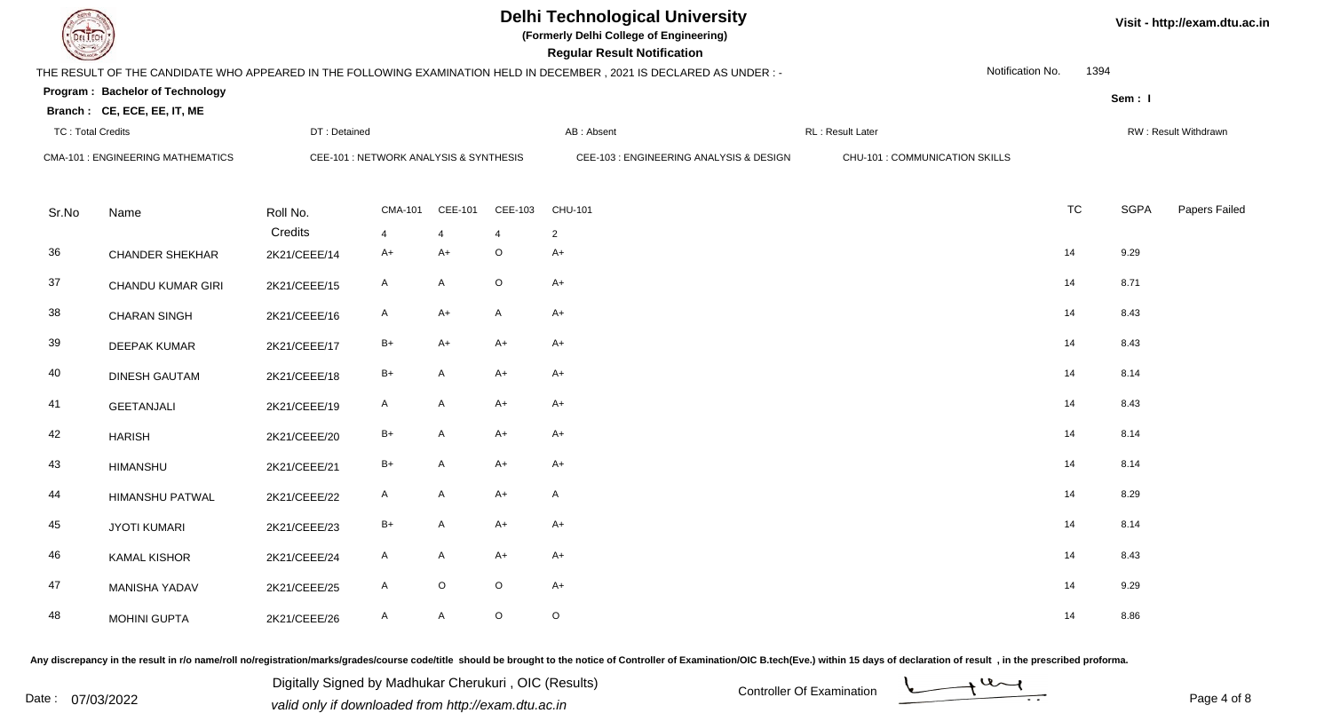**(Formerly Delhi College of Engineering)**

**Regular Regular Results Notification** 

| <b>Country</b>           |                                          |                         |                                        |         |                               | <b>Regular Result Notification</b>                                                                                   |                                |                  |           |             |                      |
|--------------------------|------------------------------------------|-------------------------|----------------------------------------|---------|-------------------------------|----------------------------------------------------------------------------------------------------------------------|--------------------------------|------------------|-----------|-------------|----------------------|
|                          |                                          |                         |                                        |         |                               | THE RESULT OF THE CANDIDATE WHO APPEARED IN THE FOLLOWING EXAMINATION HELD IN DECEMBER, 2021 IS DECLARED AS UNDER :- |                                | Notification No. | 1394      |             |                      |
|                          | Program: Bachelor of Technology          |                         |                                        |         |                               |                                                                                                                      |                                |                  |           | Sem: I      |                      |
|                          | Branch: CE, ECE, EE, IT, ME              |                         |                                        |         |                               |                                                                                                                      |                                |                  |           |             |                      |
| <b>TC: Total Credits</b> |                                          | DT: Detained            |                                        |         |                               | AB: Absent                                                                                                           | RL: Result Later               |                  |           |             | RW: Result Withdrawn |
|                          | <b>CMA-101 : ENGINEERING MATHEMATICS</b> |                         | CEE-101 : NETWORK ANALYSIS & SYNTHESIS |         |                               | CEE-103 : ENGINEERING ANALYSIS & DESIGN                                                                              | CHU-101 : COMMUNICATION SKILLS |                  |           |             |                      |
|                          |                                          |                         |                                        |         |                               |                                                                                                                      |                                |                  |           |             |                      |
| Sr.No                    | Name                                     | Roll No.                | <b>CMA-101</b>                         | CEE-101 | CEE-103                       | CHU-101                                                                                                              |                                |                  | <b>TC</b> | <b>SGPA</b> | Papers Failed        |
| 36                       | <b>CHANDER SHEKHAR</b>                   | Credits<br>2K21/CEEE/14 | $\overline{4}$<br>$A+$                 | 4<br>A+ | $\overline{4}$<br>$\mathsf O$ | $\overline{2}$<br>$A+$                                                                                               |                                |                  | 14        | 9.29        |                      |
|                          |                                          |                         |                                        |         |                               |                                                                                                                      |                                |                  |           |             |                      |
| 37                       | <b>CHANDU KUMAR GIRI</b>                 | 2K21/CEEE/15            | $\mathsf{A}$                           | A       | $\mathsf O$                   | $A+$                                                                                                                 |                                |                  | 14        | 8.71        |                      |
| 38                       | <b>CHARAN SINGH</b>                      | 2K21/CEEE/16            | $\mathsf{A}$                           | $A+$    | $\mathsf{A}$                  | $A+$                                                                                                                 |                                |                  | 14        | 8.43        |                      |
| 39                       | <b>DEEPAK KUMAR</b>                      | 2K21/CEEE/17            | $B+$                                   | $A+$    | $A+$                          | $A+$                                                                                                                 |                                |                  | 14        | 8.43        |                      |
| 40                       | <b>DINESH GAUTAM</b>                     | 2K21/CEEE/18            | $B+$                                   | A       | $A+$                          | $A+$                                                                                                                 |                                |                  | 14        | 8.14        |                      |
| 41                       | <b>GEETANJALI</b>                        | 2K21/CEEE/19            | A                                      | A       | $A+$                          | $A+$                                                                                                                 |                                |                  | 14        | 8.43        |                      |
| 42                       | <b>HARISH</b>                            | 2K21/CEEE/20            | $B+$                                   | A       | $A+$                          | $A+$                                                                                                                 |                                |                  | 14        | 8.14        |                      |
| 43                       | <b>HIMANSHU</b>                          | 2K21/CEEE/21            | $B+$                                   | A       | $A+$                          | $A+$                                                                                                                 |                                |                  | 14        | 8.14        |                      |
| 44                       | <b>HIMANSHU PATWAL</b>                   | 2K21/CEEE/22            | A                                      | A       | $A+$                          | $\mathsf{A}$                                                                                                         |                                |                  | 14        | 8.29        |                      |
| 45                       | <b>JYOTI KUMARI</b>                      | 2K21/CEEE/23            | $B+$                                   | A       | $A+$                          | $A+$                                                                                                                 |                                |                  | 14        | 8.14        |                      |
| 46                       | <b>KAMAL KISHOR</b>                      | 2K21/CEEE/24            | A                                      | A       | $A+$                          | $A+$                                                                                                                 |                                |                  | 14        | 8.43        |                      |
| 47                       | MANISHA YADAV                            | 2K21/CEEE/25            | $\mathsf{A}$                           | $\circ$ | $\mathsf O$                   | $A+$                                                                                                                 |                                |                  | 14        | 9.29        |                      |
| 48                       | <b>MOHINI GUPTA</b>                      | 2K21/CEEE/26            | A                                      | A       | $\mathsf O$                   | $\circ$                                                                                                              |                                |                  | 14        | 8.86        |                      |

Any discrepancy in the result in r/o name/roll no/registration/marks/grades/course code/title should be brought to the notice of Controller of Examination/OIC B.tech(Eve.) within 15 days of declaration of result, in the pr

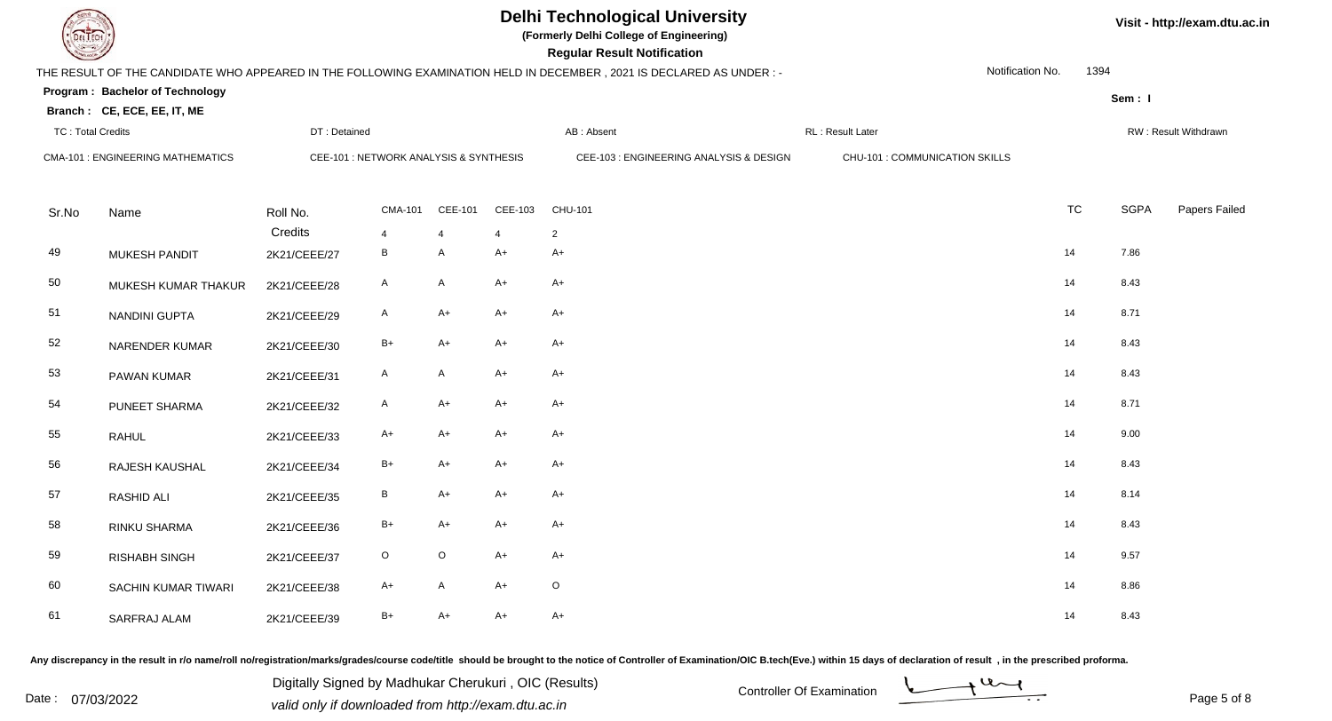**(Formerly Delhi College of Engineering)**

**Regular Regular Results Notification** 

| <b>Country</b>           |                                          |              |                                        |                |                | <b>Regular Result Notification</b>                                                                                   |                                |                  |           |             |                      |
|--------------------------|------------------------------------------|--------------|----------------------------------------|----------------|----------------|----------------------------------------------------------------------------------------------------------------------|--------------------------------|------------------|-----------|-------------|----------------------|
|                          |                                          |              |                                        |                |                | THE RESULT OF THE CANDIDATE WHO APPEARED IN THE FOLLOWING EXAMINATION HELD IN DECEMBER, 2021 IS DECLARED AS UNDER :- |                                | Notification No. | 1394      |             |                      |
|                          | Program: Bachelor of Technology          |              |                                        |                |                |                                                                                                                      |                                |                  |           | Sem: I      |                      |
|                          | Branch: CE, ECE, EE, IT, ME              |              |                                        |                |                |                                                                                                                      |                                |                  |           |             |                      |
| <b>TC: Total Credits</b> |                                          | DT: Detained |                                        |                |                | AB: Absent                                                                                                           | RL: Result Later               |                  |           |             | RW: Result Withdrawn |
|                          | <b>CMA-101 : ENGINEERING MATHEMATICS</b> |              | CEE-101 : NETWORK ANALYSIS & SYNTHESIS |                |                | CEE-103 : ENGINEERING ANALYSIS & DESIGN                                                                              | CHU-101 : COMMUNICATION SKILLS |                  |           |             |                      |
|                          |                                          |              |                                        |                |                |                                                                                                                      |                                |                  |           |             |                      |
| Sr.No                    | Name                                     | Roll No.     | <b>CMA-101</b>                         | CEE-101        | CEE-103        | CHU-101                                                                                                              |                                |                  | <b>TC</b> | <b>SGPA</b> | Papers Failed        |
|                          |                                          | Credits      | $\overline{4}$                         | $\overline{4}$ | $\overline{4}$ | $\overline{2}$                                                                                                       |                                |                  |           |             |                      |
| 49                       | <b>MUKESH PANDIT</b>                     | 2K21/CEEE/27 | B                                      | A              | $A+$           | $A+$                                                                                                                 |                                |                  | 14        | 7.86        |                      |
| 50                       | MUKESH KUMAR THAKUR                      | 2K21/CEEE/28 | A                                      | A              | $A+$           | $A+$                                                                                                                 |                                |                  | 14        | 8.43        |                      |
| 51                       | NANDINI GUPTA                            | 2K21/CEEE/29 | A                                      | A+             | $A+$           | $A+$                                                                                                                 |                                |                  | 14        | 8.71        |                      |
| 52                       | NARENDER KUMAR                           | 2K21/CEEE/30 | $B+$                                   | $A+$           | $A+$           | $A+$                                                                                                                 |                                |                  | 14        | 8.43        |                      |
| 53                       | PAWAN KUMAR                              | 2K21/CEEE/31 | $\mathsf{A}$                           | A              | $A+$           | $A+$                                                                                                                 |                                |                  | 14        | 8.43        |                      |
| 54                       | PUNEET SHARMA                            | 2K21/CEEE/32 | A                                      | A+             | $A+$           | A+                                                                                                                   |                                |                  | 14        | 8.71        |                      |
| 55                       | <b>RAHUL</b>                             | 2K21/CEEE/33 | A+                                     | $A+$           | $A+$           | $A+$                                                                                                                 |                                |                  | 14        | 9.00        |                      |
| 56                       | RAJESH KAUSHAL                           | 2K21/CEEE/34 | $B+$                                   | $A+$           | $A+$           | $A+$                                                                                                                 |                                |                  | 14        | 8.43        |                      |
| 57                       | <b>RASHID ALI</b>                        | 2K21/CEEE/35 | B                                      | $A+$           | $A+$           | $A+$                                                                                                                 |                                |                  | 14        | 8.14        |                      |
| 58                       | RINKU SHARMA                             | 2K21/CEEE/36 | $B+$                                   | $A+$           | $A+$           | $A+$                                                                                                                 |                                |                  | 14        | 8.43        |                      |
| 59                       | <b>RISHABH SINGH</b>                     | 2K21/CEEE/37 | $\circ$                                | $\circ$        | $A+$           | $A+$                                                                                                                 |                                |                  | 14        | 9.57        |                      |
| 60                       | SACHIN KUMAR TIWARI                      | 2K21/CEEE/38 | A+                                     | A              | $A+$           | $\circ$                                                                                                              |                                |                  | 14        | 8.86        |                      |
| 61                       | SARFRAJ ALAM                             | 2K21/CEEE/39 | $B+$                                   | A+             | $A+$           | $A+$                                                                                                                 |                                |                  | 14        | 8.43        |                      |

Any discrepancy in the result in r/o name/roll no/registration/marks/grades/course code/title should be brought to the notice of Controller of Examination/OIC B.tech(Eve.) within 15 days of declaration of result, in the pr

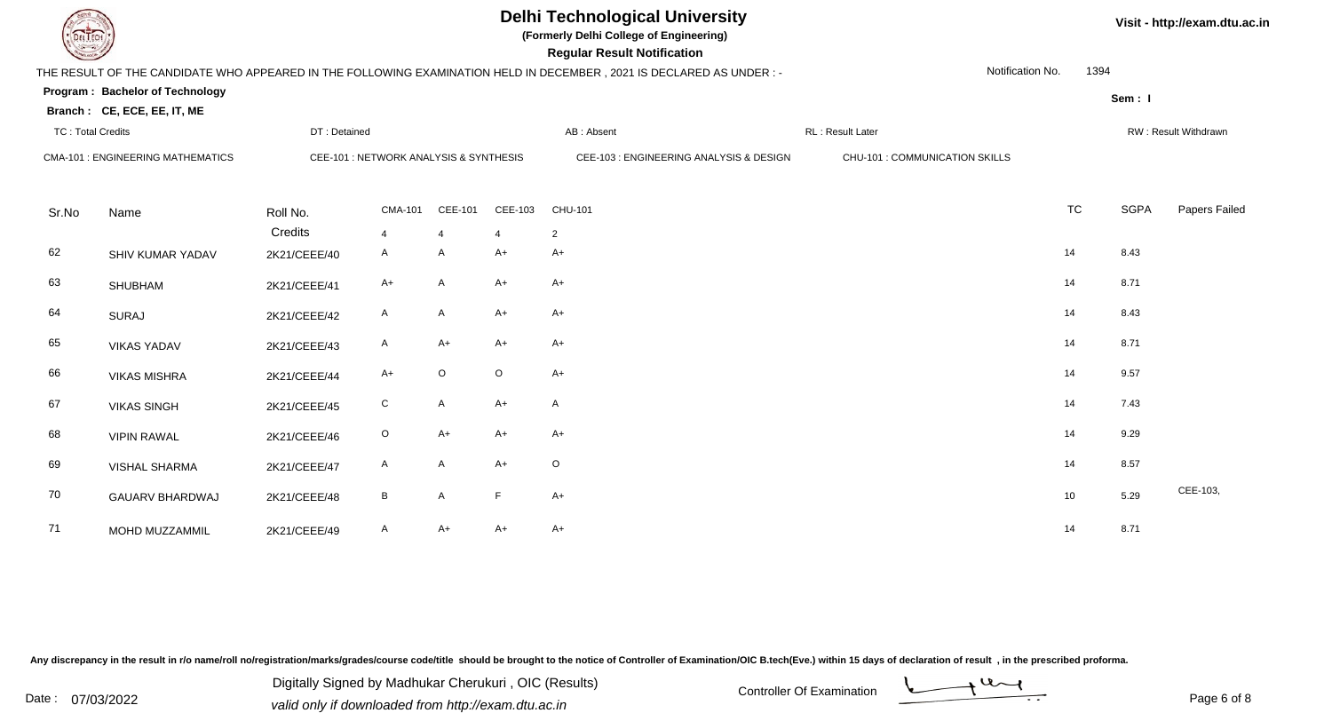**(Formerly Delhi College of Engineering)**

**Visit - http://exam.dtu.ac.in**

| <b>Courses of The Days of The Days of The Days of The Days of The Days of The Days of The Days of The Days of The Days of The Days of The Days of The Days of The Days of The Days of The Days of The Days of The Days of The Da</b> |                                          |              |                                        |                |                | <b>Regular Result Notification</b>                                                                                   |                                |                  |           |             |                      |
|--------------------------------------------------------------------------------------------------------------------------------------------------------------------------------------------------------------------------------------|------------------------------------------|--------------|----------------------------------------|----------------|----------------|----------------------------------------------------------------------------------------------------------------------|--------------------------------|------------------|-----------|-------------|----------------------|
|                                                                                                                                                                                                                                      |                                          |              |                                        |                |                | THE RESULT OF THE CANDIDATE WHO APPEARED IN THE FOLLOWING EXAMINATION HELD IN DECEMBER, 2021 IS DECLARED AS UNDER :- |                                | Notification No. | 1394      |             |                      |
|                                                                                                                                                                                                                                      | Program: Bachelor of Technology          |              |                                        |                |                |                                                                                                                      |                                |                  |           | Sem: I      |                      |
|                                                                                                                                                                                                                                      | Branch: CE, ECE, EE, IT, ME              |              |                                        |                |                |                                                                                                                      |                                |                  |           |             |                      |
| <b>TC: Total Credits</b>                                                                                                                                                                                                             |                                          | DT: Detained |                                        |                |                | AB: Absent                                                                                                           | RL: Result Later               |                  |           |             | RW: Result Withdrawn |
|                                                                                                                                                                                                                                      | <b>CMA-101 : ENGINEERING MATHEMATICS</b> |              | CEE-101 : NETWORK ANALYSIS & SYNTHESIS |                |                | CEE-103 : ENGINEERING ANALYSIS & DESIGN                                                                              | CHU-101 : COMMUNICATION SKILLS |                  |           |             |                      |
|                                                                                                                                                                                                                                      |                                          |              |                                        |                |                |                                                                                                                      |                                |                  |           |             |                      |
| Sr.No                                                                                                                                                                                                                                | Name                                     | Roll No.     | <b>CMA-101</b>                         | CEE-101        | CEE-103        | CHU-101                                                                                                              |                                |                  | <b>TC</b> | <b>SGPA</b> | Papers Failed        |
|                                                                                                                                                                                                                                      |                                          | Credits      | $\overline{4}$                         | $\overline{4}$ | $\overline{4}$ | $\overline{2}$                                                                                                       |                                |                  |           |             |                      |
| 62                                                                                                                                                                                                                                   | SHIV KUMAR YADAV                         | 2K21/CEEE/40 | $\mathsf{A}$                           | A              | $A+$           | $A+$                                                                                                                 |                                |                  | 14        | 8.43        |                      |
| 63                                                                                                                                                                                                                                   | <b>SHUBHAM</b>                           | 2K21/CEEE/41 | A+                                     | A              | $A+$           | A+                                                                                                                   |                                |                  | 14        | 8.71        |                      |
|                                                                                                                                                                                                                                      |                                          |              |                                        |                |                |                                                                                                                      |                                |                  |           |             |                      |
| 64                                                                                                                                                                                                                                   | <b>SURAJ</b>                             | 2K21/CEEE/42 | A                                      | A              | $A+$           | A+                                                                                                                   |                                |                  | 14        | 8.43        |                      |
| 65                                                                                                                                                                                                                                   | <b>VIKAS YADAV</b>                       | 2K21/CEEE/43 | A                                      | A+             | $A+$           | A+                                                                                                                   |                                |                  | 14        | 8.71        |                      |
| 66                                                                                                                                                                                                                                   | <b>VIKAS MISHRA</b>                      | 2K21/CEEE/44 | $A+$                                   | $\circ$        | $\circ$        | $A+$                                                                                                                 |                                |                  | 14        | 9.57        |                      |
| 67                                                                                                                                                                                                                                   | <b>VIKAS SINGH</b>                       | 2K21/CEEE/45 | ${\rm C}$                              | $\mathsf{A}$   | $A+$           | $\mathsf{A}$                                                                                                         |                                |                  | 14        | 7.43        |                      |
| 68                                                                                                                                                                                                                                   | <b>VIPIN RAWAL</b>                       | 2K21/CEEE/46 | $\circ$                                | $A+$           | $A+$           | $A+$                                                                                                                 |                                |                  | 14        | 9.29        |                      |
|                                                                                                                                                                                                                                      |                                          |              |                                        |                |                |                                                                                                                      |                                |                  |           |             |                      |
| 69                                                                                                                                                                                                                                   | <b>VISHAL SHARMA</b>                     | 2K21/CEEE/47 | A                                      | A              | $A+$           | $\circ$                                                                                                              |                                |                  | 14        | 8.57        |                      |
| 70                                                                                                                                                                                                                                   | <b>GAUARV BHARDWAJ</b>                   | 2K21/CEEE/48 | B                                      | A              | F              | $A+$                                                                                                                 |                                |                  | 10        | 5.29        | CEE-103,             |
| 71                                                                                                                                                                                                                                   | MOHD MUZZAMMIL                           | 2K21/CEEE/49 | A                                      | A+             | $A+$           | $A+$                                                                                                                 |                                |                  | 14        | 8.71        |                      |

Any discrepancy in the result in r/o name/roll no/registration/marks/grades/course code/title should be brought to the notice of Controller of Examination/OIC B.tech(Eve.) within 15 days of declaration of result, in the pr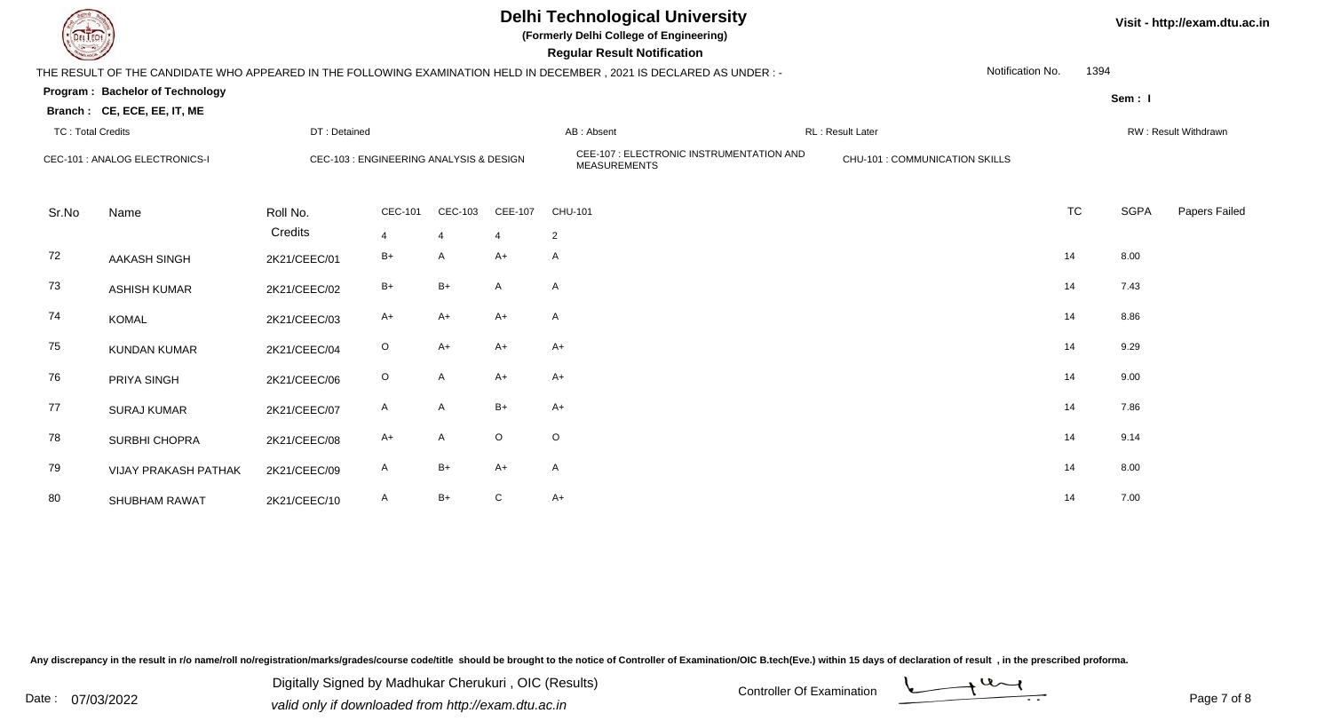

**(Formerly Delhi College of Engineering)**

| <b>Consultor of Persons</b> |                                        |                     |                                         |                |                | <b>Regular Result Notification</b>                                                                                   |                                |                  |           |             |                      |
|-----------------------------|----------------------------------------|---------------------|-----------------------------------------|----------------|----------------|----------------------------------------------------------------------------------------------------------------------|--------------------------------|------------------|-----------|-------------|----------------------|
|                             |                                        |                     |                                         |                |                | THE RESULT OF THE CANDIDATE WHO APPEARED IN THE FOLLOWING EXAMINATION HELD IN DECEMBER, 2021 IS DECLARED AS UNDER :- |                                | Notification No. | 1394      |             |                      |
|                             | <b>Program: Bachelor of Technology</b> |                     |                                         |                |                |                                                                                                                      |                                |                  |           | Sem: I      |                      |
|                             | Branch: CE, ECE, EE, IT, ME            |                     |                                         |                |                |                                                                                                                      |                                |                  |           |             |                      |
| <b>TC: Total Credits</b>    |                                        | DT: Detained        |                                         |                |                | AB: Absent                                                                                                           | RL: Result Later               |                  |           |             | RW: Result Withdrawn |
|                             | CEC-101 : ANALOG ELECTRONICS-I         |                     | CEC-103 : ENGINEERING ANALYSIS & DESIGN |                |                | CEE-107 : ELECTRONIC INSTRUMENTATION AND<br><b>MEASUREMENTS</b>                                                      | CHU-101 : COMMUNICATION SKILLS |                  |           |             |                      |
| Sr.No                       | Name                                   | Roll No.<br>Credits | CEC-101                                 | CEC-103        | CEE-107        | CHU-101                                                                                                              |                                |                  | <b>TC</b> | <b>SGPA</b> | Papers Failed        |
|                             |                                        |                     | $\overline{4}$                          | $\overline{4}$ | $\overline{4}$ | $\overline{2}$                                                                                                       |                                |                  |           |             |                      |
| 72                          | <b>AAKASH SINGH</b>                    | 2K21/CEEC/01        | $B+$                                    | A              | $A+$           | A                                                                                                                    |                                |                  | 14        | 8.00        |                      |
| 73                          | <b>ASHISH KUMAR</b>                    | 2K21/CEEC/02        | $B+$                                    | $B+$           | A              | A                                                                                                                    |                                |                  | 14        | 7.43        |                      |
| 74                          | <b>KOMAL</b>                           | 2K21/CEEC/03        | A+                                      | A+             | $A+$           | A                                                                                                                    |                                |                  | 14        | 8.86        |                      |
| 75                          | <b>KUNDAN KUMAR</b>                    | 2K21/CEEC/04        | $\circ$                                 | A+             | $A+$           | A+                                                                                                                   |                                |                  | 14        | 9.29        |                      |
| 76                          | PRIYA SINGH                            | 2K21/CEEC/06        | $\circ$                                 | A              | $A+$           | A+                                                                                                                   |                                |                  | 14        | 9.00        |                      |
| 77                          | <b>SURAJ KUMAR</b>                     | 2K21/CEEC/07        | A                                       | A              | $B+$           | A+                                                                                                                   |                                |                  | 14        | 7.86        |                      |
| 78                          | SURBHI CHOPRA                          | 2K21/CEEC/08        | A+                                      | A              | $\mathsf O$    | $\mathsf O$                                                                                                          |                                |                  | 14        | 9.14        |                      |
| 79                          | <b>VIJAY PRAKASH PATHAK</b>            | 2K21/CEEC/09        | A                                       | $B+$           | $A+$           | A                                                                                                                    |                                |                  | 14        | 8.00        |                      |
| 80                          | <b>SHUBHAM RAWAT</b>                   | 2K21/CEEC/10        | A                                       | $B+$           | C              | $A+$                                                                                                                 |                                |                  | 14        | 7.00        |                      |

Any discrepancy in the result in r/o name/roll no/registration/marks/grades/course code/title should be brought to the notice of Controller of Examination/OIC B.tech(Eve.) within 15 days of declaration of result, in the pr

Date : 07/03/2022 Valid only if downloaded from http://exam.dtu.ac.in<br>
Date : 07/03/2022 valid only if downloaded from http://exam.dtu.ac.in Digitally Signed by Madhukar Cherukuri , OIC (Results)